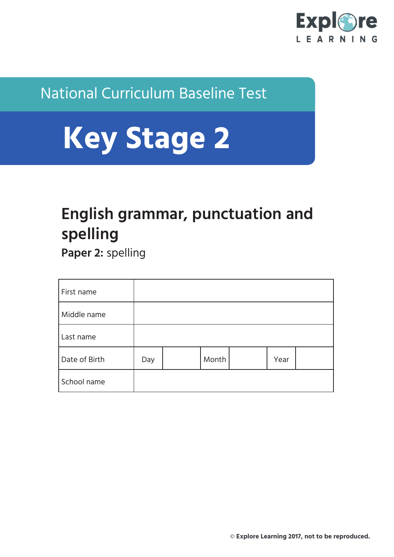

#### National Curriculum Baseline Test

# **Key Stage 2**

### **English grammar, punctuation and spelling**

**Paper 2:** spelling

| First name    |     |       |      |  |
|---------------|-----|-------|------|--|
| Middle name   |     |       |      |  |
| Last name     |     |       |      |  |
| Date of Birth | Day | Month | Year |  |
| School name   |     |       |      |  |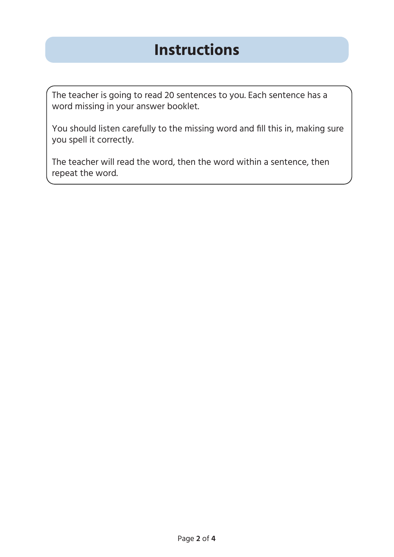#### **Instructions**

The teacher is going to read 20 sentences to you. Each sentence has a word missing in your answer booklet.

You should listen carefully to the missing word and fill this in, making sure you spell it correctly.

The teacher will read the word, then the word within a sentence, then repeat the word.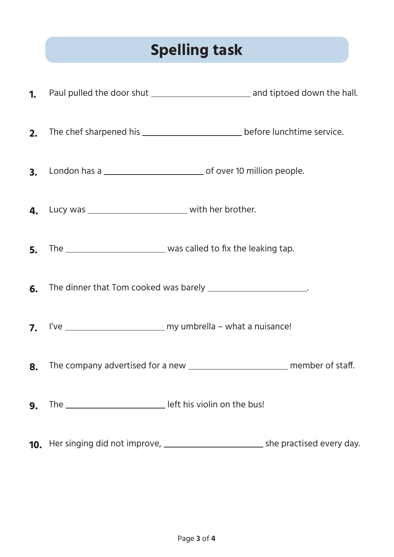## **Spelling task**

| 1 <sub>1</sub> |                                                                                     |  |
|----------------|-------------------------------------------------------------------------------------|--|
| 2.             | The chef sharpened his ________________________________ before lunchtime service.   |  |
| 3.             |                                                                                     |  |
| 4.             | Lucy was _________________________________ with her brother.                        |  |
| 5.             |                                                                                     |  |
| 6.             | The dinner that Tom cooked was barely ________________________.                     |  |
| 7.             |                                                                                     |  |
| 8.             | The company advertised for a new _________________________________ member of staff. |  |
| 9.             |                                                                                     |  |
| 10.            |                                                                                     |  |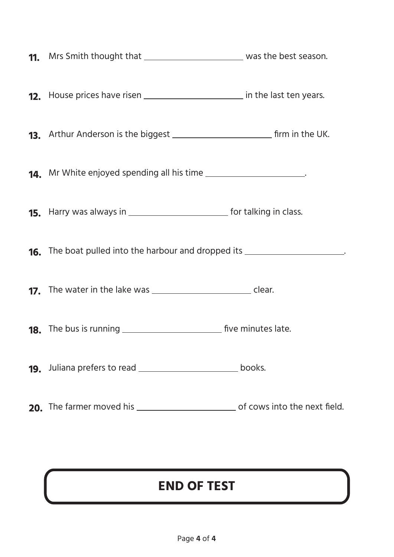| <b>12.</b> House prices have risen ____________________________ in the last ten years. |  |
|----------------------------------------------------------------------------------------|--|
|                                                                                        |  |
| <b>14.</b> Mr White enjoyed spending all his time _______________________.             |  |
|                                                                                        |  |
| 16. The boat pulled into the harbour and dropped its __________________________.       |  |
|                                                                                        |  |
|                                                                                        |  |
|                                                                                        |  |
|                                                                                        |  |

#### **END OF TEST**